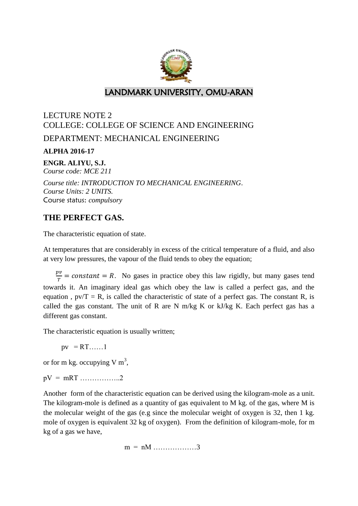

## LANDMARK UNIVERSITY, OMU-ARAN

# LECTURE NOTE 2 COLLEGE: COLLEGE OF SCIENCE AND ENGINEERING DEPARTMENT: MECHANICAL ENGINEERING

**ALPHA 2016-17**

**ENGR. ALIYU, S.J.**

*Course code: MCE 211*

*Course title: INTRODUCTION TO MECHANICAL ENGINEERING*. *Course Units: 2 UNITS.* Course status: *compulsory*

### **THE PERFECT GAS.**

The characteristic equation of state.

At temperatures that are considerably in excess of the critical temperature of a fluid, and also at very low pressures, the vapour of the fluid tends to obey the equation;

 $\boldsymbol{p}$  $\frac{\partial v}{\partial r}$  = constant = R. No gases in practice obey this law rigidly, but many gases tend towards it. An imaginary ideal gas which obey the law is called a perfect gas, and the equation,  $pv/T = R$ , is called the characteristic of state of a perfect gas. The constant R, is called the gas constant. The unit of R are N m/kg K or  $kJ/kg$  K. Each perfect gas has a different gas constant.

The characteristic equation is usually written;

 $pv = RT$ ……1

or for m kg. occupying V  $m<sup>3</sup>$ ,

 $pV = mRT$  ....................2

Another form of the characteristic equation can be derived using the kilogram-mole as a unit. The kilogram-mole is defined as a quantity of gas equivalent to M kg. of the gas, where M is the molecular weight of the gas (e.g since the molecular weight of oxygen is 32, then 1 kg. mole of oxygen is equivalent 32 kg of oxygen). From the definition of kilogram-mole, for m kg of a gas we have,

 $m = nM$  .................3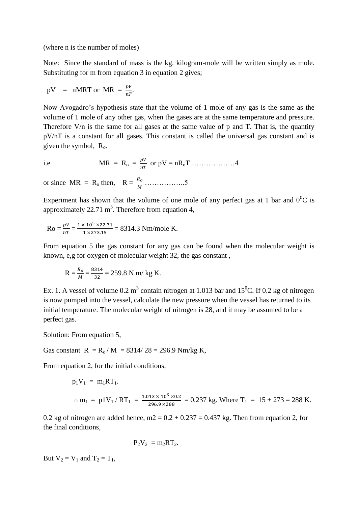(where n is the number of moles)

Note: Since the standard of mass is the kg. kilogram-mole will be written simply as mole. Substituting for m from equation 3 in equation 2 gives;

$$
pV = nMRT \text{ or } MR = \frac{pV}{nT}
$$

Now Avogadro's hypothesis state that the volume of 1 mole of any gas is the same as the volume of 1 mole of any other gas, when the gases are at the same temperature and pressure. Therefore V/n is the same for all gases at the same value of p and T. That is, the quantity pV/nT is a constant for all gases. This constant is called the universal gas constant and is given the symbol,  $R_0$ .

$$
i.e
$$

i.e 
$$
MR = R_o = \frac{pV}{nT}
$$
 or  $pV = nR_oT$ ............4

or since  $MR = R_0$  then,  $R = \frac{R_0}{M}$  ......................5

Experiment has shown that the volume of one mole of any perfect gas at 1 bar and  $0^0C$  is approximately  $22.71 \text{ m}^3$ . Therefore from equation 4,

$$
Ro = \frac{pV}{nT} = \frac{1 \times 10^5 \times 22.71}{1 \times 273.15} = 8314.3 \text{ Nm/mole K}.
$$

From equation 5 the gas constant for any gas can be found when the molecular weight is known, e,g for oxygen of molecular weight 32, the gas constant ,

$$
R = \frac{R_o}{M} = \frac{8314}{32} = 259.8
$$
 N m/kg K.

Ex. 1. A vessel of volume 0.2 m<sup>3</sup> contain nitrogen at 1.013 bar and 15<sup>0</sup>C. If 0.2 kg of nitrogen is now pumped into the vessel, calculate the new pressure when the vessel has returned to its initial temperature. The molecular weight of nitrogen is 28, and it may be assumed to be a perfect gas.

Solution: From equation 5,

Gas constant  $R = R_0 / M = 8314 / 28 = 296.9$  Nm/kg K,

From equation 2, for the initial conditions.

$$
p_1V_1 = m_1RT_1.
$$
  

$$
\therefore m_1 = p1V_1 / RT_1 = \frac{1.013 \times 10^5 \times 0.2}{296.9 \times 288} = 0.237 \text{ kg. Where } T_1 = 15 + 273 = 288 \text{ K.}
$$

0.2 kg of nitrogen are added hence,  $m2 = 0.2 + 0.237 = 0.437$  kg. Then from equation 2, for the final conditions,

$$
P_2V_2 = m_2RT_2.
$$

But  $V_2 = V_1$  and  $T_2 = T_1$ ,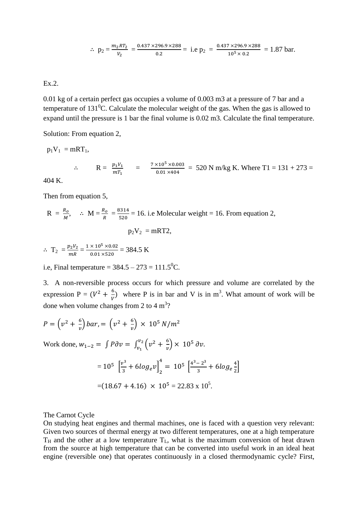$$
\therefore p_2 = \frac{m_2 R T_2}{v_2} = \frac{0.437 \times 296.9 \times 288}{0.2} = i.e p_2 = \frac{0.437 \times 296.9 \times 288}{10^5 \times 0.2} = 1.87 \text{ bar}.
$$

### Ex.2.

0.01 kg of a certain perfect gas occupies a volume of 0.003 m3 at a pressure of 7 bar and a temperature of  $131^0$ C. Calculate the molecular weight of the gas. When the gas is allowed to expand until the pressure is 1 bar the final volume is 0.02 m3. Calculate the final temperature.

Solution: From equation 2,

$$
p_1 V_1 = mRT_1,
$$
  
\n
$$
\therefore R = \frac{p_1 V_1}{mT_1} = \frac{7 \times 10^5 \times 0.003}{0.01 \times 404} = 520 \text{ N m/kg K. Where T1} = 131 + 273 = 404 \text{ K}
$$

404 K.

Then from equation 5,

$$
R = \frac{R_o}{M}, \quad \therefore \quad M = \frac{R_o}{R} = \frac{8314}{520} = 16.
$$
 i.e. Molecular weight = 16. From equation 2,  

$$
p_2 V_2 = mRT2,
$$

$$
\therefore T_2 = \frac{p_2 V_2}{mR} = \frac{1 \times 10^5 \times 0.02}{0.01 \times 520} = 384.5 \text{ K}
$$

i.e, Final temperature =  $384.5 - 273 = 111.5$ <sup>o</sup>C.

3. A non-reversible process occurs for which pressure and volume are correlated by the expression P =  $(V^2 + \frac{6}{V^2})$  $\frac{6}{v}$  where P is in bar and V is in m<sup>3</sup>. What amount of work will be done when volume changes from 2 to 4  $\text{m}^3$ ?

$$
P = (v^2 + \frac{6}{v}) bar = (v^2 + \frac{6}{v}) \times 10^5 N/m^2
$$
  
Work done,  $w_{1-2} = \int P \partial v = \int_{v_1}^{v_2} (v^2 + \frac{6}{v}) \times 10^5 \partial v$ .  

$$
= 10^5 \left[ \frac{v^3}{3} + 6 \log_e v \right]_2^4 = 10^5 \left[ \frac{4^3 - 2^3}{3} + 6 \log_e \frac{4}{2} \right]
$$

$$
= (18.67 + 4.16) \times 10^5 = 22.83 \times 10^5.
$$

The Carnot Cycle

On studying heat engines and thermal machines, one is faced with a question very relevant: Given two sources of thermal energy at two different temperatures, one at a high temperature  $T_H$  and the other at a low temperature  $T_L$ , what is the maximum conversion of heat drawn from the source at high temperature that can be converted into useful work in an ideal heat engine (reversible one) that operates continuously in a closed thermodynamic cycle? First,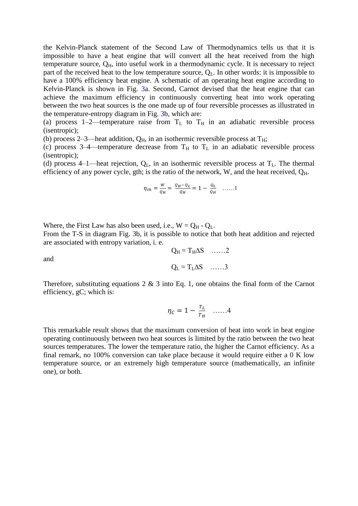the Kelvin-Planck statement of the Second Law of Thermodynamics tells us that it is impossible to have a heat engine that will convert all the heat received from the high temperature source,  $Q_H$ , into useful work in a thermodynamic cycle. It is necessary to reject part of the received heat to the low temperature source,  $Q_L$ . In other words: it is impossible to have a 100% efficiency heat engine. A schematic of an operating heat engine according to Kelvin-Planck is shown in Fig. 3a. Second, Carnot devised that the heat engine that can achieve the maximum efficiency in continuously converting heat into work operating between the two heat sources is the one made up of four reversible processes as illustrated in the temperature-entropy diagram in Fig. 3b, which are:

(a) process 1–2—temperature raise from  $T_L$  to  $T_H$  in an adiabatic reversible process (isentropic);

(b) process 2–3—heat addition,  $Q_H$ , in an isothermic reversible process at  $T_H$ ;

(c) process 3–4—temperature decrease from  $T_H$  to  $T_L$  in an adiabatic reversible process (isentropic);

(d) process 4–1—heat rejection,  $Q_L$ , in an isothermic reversible process at  $T_L$ . The thermal efficiency of any power cycle, gth; is the ratio of the network, W, and the heat received,  $Q_H$ .

$$
\eta_{th} = \frac{w}{\varrho_H} = \frac{\varrho_H - \varrho_L}{\varrho_H} = 1 - \frac{\varrho_L}{\varrho_H} \quad \dots \dots 1
$$

Where, the First Law has also been used, i.e.,  $W = Q_H - Q_L$ .

From the T-S in diagram Fig. 3b, it is possible to notice that both heat addition and rejected are associated with entropy variation, i. e.

and

$$
Q_H = T_H \Delta S \quad \dots \dots 2
$$

$$
Q_L = T_L \Delta S \quad \dots \dots 3
$$

Therefore, substituting equations 2 & 3 into Eq. 1, one obtains the final form of the Carnot efficiency, gC; which is:

$$
\eta_C = 1 - \frac{r_L}{r_H} \quad \dots \dots 4
$$

This remarkable result shows that the maximum conversion of heat into work in heat engine operating continuously between two heat sources is limited by the ratio between the two heat sources temperatures. The lower the temperature ratio, the higher the Carnot efficiency. As a final remark, no 100% conversion can take place because it would require either a 0 K low temperature source, or an extremely high temperature source (mathematically, an infinite one), or both.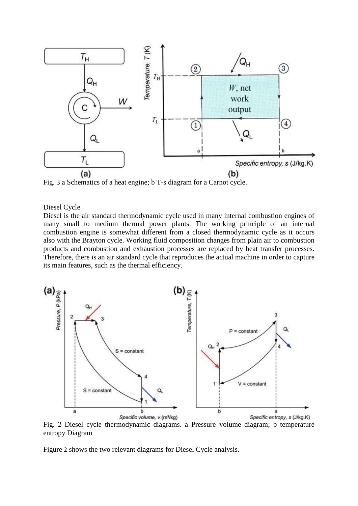

Fig. 3 a Schematics of a heat engine; b T-s diagram for a Carnot cycle.

#### Diesel Cycle

Diesel is the air standard thermodynamic cycle used in many internal combustion engines of many small to medium thermal power plants. The working principle of an internal combustion engine is somewhat different from a closed thermodynamic cycle as it occurs also with the Brayton cycle. Working fluid composition changes from plain air to combustion products and combustion and exhaustion processes are replaced by heat transfer processes. Therefore, there is an air standard cycle that reproduces the actual machine in order to capture its main features, such as the thermal efficiency.



Fig. 2 Diesel cycle thermodynamic diagrams. a Pressure–volume diagram; b temperature entropy Diagram

Figure 2 shows the two relevant diagrams for Diesel Cycle analysis.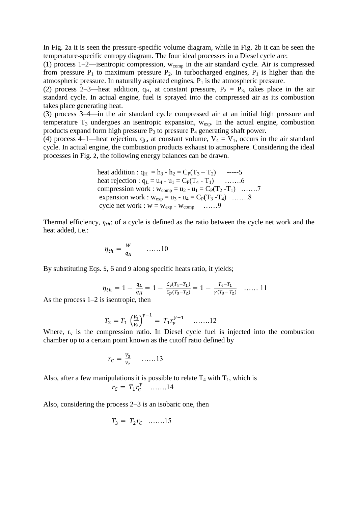In Fig. 2a it is seen the pressure-specific volume diagram, while in Fig. 2b it can be seen the temperature-specific entropy diagram. The four ideal processes in a Diesel cycle are:

(1) process 1–2—isentropic compression,  $w_{\text{comp}}$  in the air standard cycle. Air is compressed from pressure  $P_1$  to maximum pressure  $P_2$ . In turbocharged engines,  $P_1$  is higher than the atmospheric pressure. In naturally aspirated engines,  $P_1$  is the atmospheric pressure.

(2) process 2–3—heat addition,  $q_H$ , at constant pressure,  $P_2 = P_3$ , takes place in the air standard cycle. In actual engine, fuel is sprayed into the compressed air as its combustion takes place generating heat.

(3) process 3–4—in the air standard cycle compressed air at an initial high pressure and temperature  $T_3$  undergoes an isentropic expansion,  $w_{exp}$ . In the actual engine, combustion products expand form high pressure  $P_3$  to pressure  $P_4$  generating shaft power.

(4) process 4–1—heat rejection,  $q_L$ , at constant volume,  $V_4 = V_1$ , occurs in the air standard cycle. In actual engine, the combustion products exhaust to atmosphere. Considering the ideal processes in Fig. 2, the following energy balances can be drawn.

heat addition : 
$$
q_H = h_3 - h_2 = C_P(T_3 - T_2)
$$
 -----5  
heat rejection :  $q_L = u_4 - u_1 = C_P(T_4 - T_1)$  .......6  
compression work :  $w_{comp} = u_2 - u_1 = C_P(T_2 - T_1)$  .......7  
expansion work :  $w_{exp} = u_3 - u_4 = C_P(T_3 - T_4)$  .......8  
cycle net work :  $w = w_{exp} - w_{comp}$  ......9

Thermal efficiency,  $\eta_{th}$ ; of a cycle is defined as the ratio between the cycle net work and the heat added, i.e.:

$$
\eta_{th} = \frac{W}{q_H} \qquad \ldots \ldots 10
$$

By substituting Eqs. 5, 6 and 9 along specific heats ratio, it yields;

$$
\eta_{th} = 1 - \frac{q_L}{q_H} = 1 - \frac{c_v(\tau_4 - \tau_1)}{c_p(\tau_3 - \tau_2)} = 1 - \frac{\tau_4 - \tau_1}{\gamma(\tau_3 - \tau_2)} \quad \dots \dots \quad 11
$$

As the process 1–2 is isentropic, then

$$
T_2 = T_1 \left(\frac{V_1}{V_2}\right)^{\gamma - 1} = T_1 r_v^{\gamma - 1} \quad \dots \dots 12
$$

Where,  $r_v$  is the compression ratio. In Diesel cycle fuel is injected into the combustion chamber up to a certain point known as the cutoff ratio defined by

$$
r_C = \frac{V_3}{V_2} \qquad \ldots \ldots 13
$$

Also, after a few manipulations it is possible to relate  $T_4$  with  $T_1$ , which is

$$
r_C = T_1 r_C^{\gamma} \quad \dots \dots 14
$$

Also, considering the process 2–3 is an isobaric one, then

$$
T_3 = T_2 r_C \quad \dots \dots 15
$$